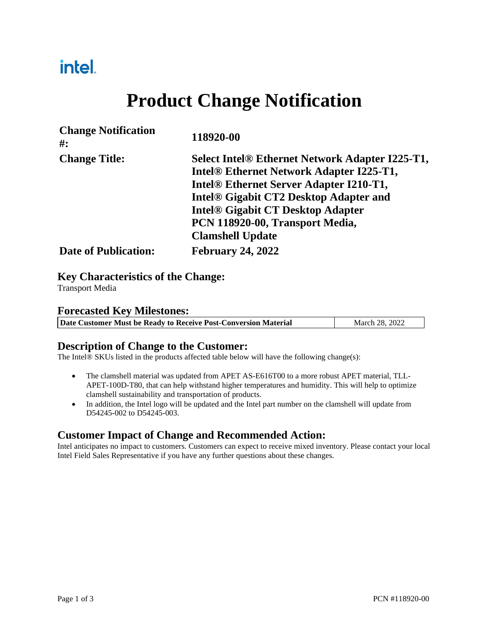# intel.

# **Product Change Notification**

| <b>Change Notification</b><br>#: | 118920-00                                              |
|----------------------------------|--------------------------------------------------------|
| <b>Change Title:</b>             | <b>Select Intel® Ethernet Network Adapter I225-T1,</b> |
|                                  | Intel <sup>®</sup> Ethernet Network Adapter I225-T1,   |
|                                  | Intel <sup>®</sup> Ethernet Server Adapter I210-T1,    |
|                                  | <b>Intel® Gigabit CT2 Desktop Adapter and</b>          |
|                                  | <b>Intel® Gigabit CT Desktop Adapter</b>               |
|                                  | PCN 118920-00, Transport Media,                        |
|                                  | <b>Clamshell Update</b>                                |
| <b>Date of Publication:</b>      | <b>February 24, 2022</b>                               |
|                                  |                                                        |

#### **Key Characteristics of the Change:**

Transport Media

#### **Forecasted Key Milestones:**

| Date Customer Must be Ready to Receive Post-Conversion Material<br>March 28, 2022 |
|-----------------------------------------------------------------------------------|
|-----------------------------------------------------------------------------------|

#### **Description of Change to the Customer:**

The Intel® SKUs listed in the products affected table below will have the following change(s):

- The clamshell material was updated from APET AS-E616T00 to a more robust APET material, TLL-APET-100D-T80, that can help withstand higher temperatures and humidity. This will help to optimize clamshell sustainability and transportation of products.
- In addition, the Intel logo will be updated and the Intel part number on the clamshell will update from D54245-002 to D54245-003.

#### **Customer Impact of Change and Recommended Action:**

Intel anticipates no impact to customers. Customers can expect to receive mixed inventory. Please contact your local Intel Field Sales Representative if you have any further questions about these changes.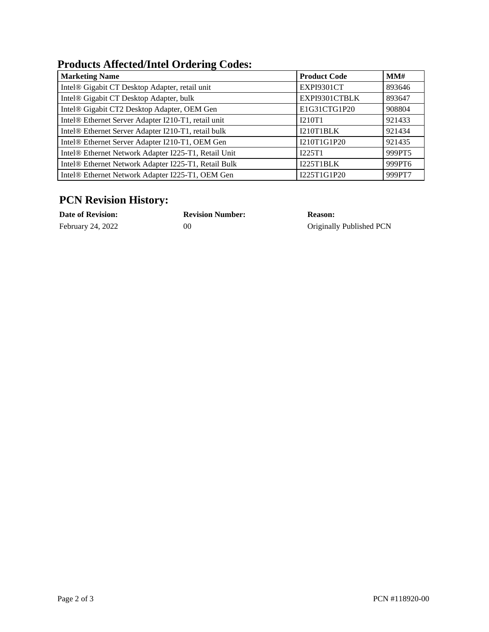### **Products Affected/Intel Ordering Codes:**

| <b>Marketing Name</b>                                | <b>Product Code</b> | MMH    |
|------------------------------------------------------|---------------------|--------|
| Intel® Gigabit CT Desktop Adapter, retail unit       | EXPI9301CT          | 893646 |
| Intel® Gigabit CT Desktop Adapter, bulk              | EXPI9301CTBLK       | 893647 |
| Intel® Gigabit CT2 Desktop Adapter, OEM Gen          | E1G31CTG1P20        | 908804 |
| Intel® Ethernet Server Adapter I210-T1, retail unit  | I210T1              | 921433 |
| Intel® Ethernet Server Adapter I210-T1, retail bulk  | I210T1BLK           | 921434 |
| Intel® Ethernet Server Adapter I210-T1, OEM Gen      | I210T1G1P20         | 921435 |
| Intel® Ethernet Network Adapter I225-T1, Retail Unit | I225T1              | 999PT5 |
| Intel® Ethernet Network Adapter I225-T1, Retail Bulk | I225T1BLK           | 999PT6 |
| Intel® Ethernet Network Adapter I225-T1, OEM Gen     | I225T1G1P20         | 999PT7 |

## **PCN Revision History:**

| <b>Date of Revision:</b> | <b>Revision Number:</b> | <b>Reason:</b>           |
|--------------------------|-------------------------|--------------------------|
| February 24, 2022        | 00                      | Originally Published PCN |